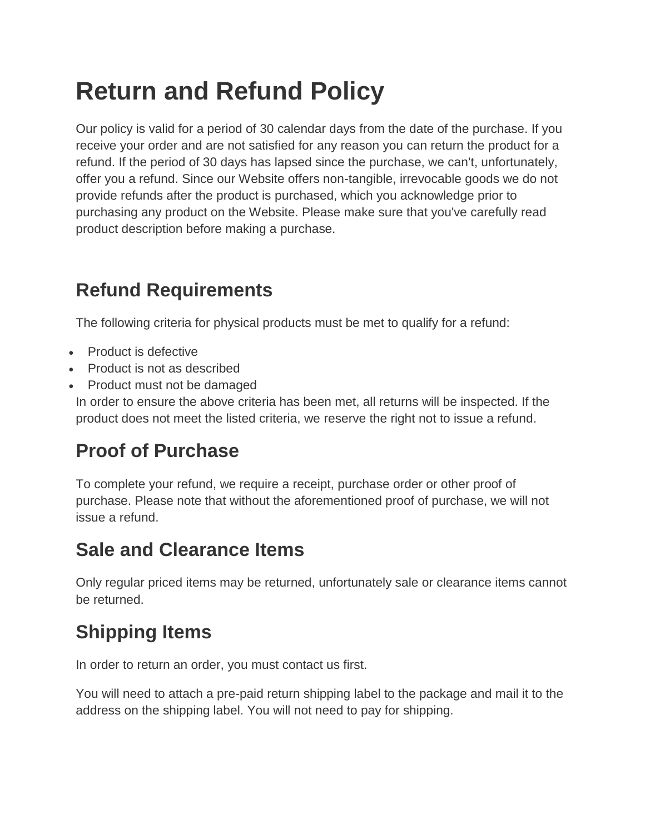# **Return and Refund Policy**

Our policy is valid for a period of 30 calendar days from the date of the purchase. If you receive your order and are not satisfied for any reason you can return the product for a refund. If the period of 30 days has lapsed since the purchase, we can't, unfortunately, offer you a refund. Since our Website offers non-tangible, irrevocable goods we do not provide refunds after the product is purchased, which you acknowledge prior to purchasing any product on the Website. Please make sure that you've carefully read product description before making a purchase.

## **Refund Requirements**

The following criteria for physical products must be met to qualify for a refund:

- Product is defective
- Product is not as described
- Product must not be damaged

In order to ensure the above criteria has been met, all returns will be inspected. If the product does not meet the listed criteria, we reserve the right not to issue a refund.

### **Proof of Purchase**

To complete your refund, we require a receipt, purchase order or other proof of purchase. Please note that without the aforementioned proof of purchase, we will not issue a refund.

#### **Sale and Clearance Items**

Only regular priced items may be returned, unfortunately sale or clearance items cannot be returned.

## **Shipping Items**

In order to return an order, you must contact us first.

You will need to attach a pre-paid return shipping label to the package and mail it to the address on the shipping label. You will not need to pay for shipping.